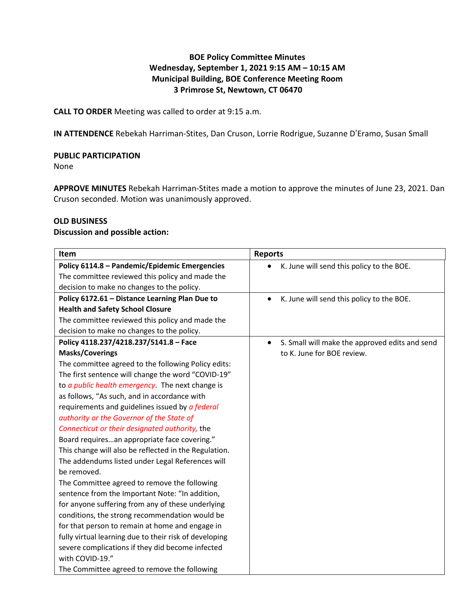# **BOE Policy Committee Minutes Wednesday, September 1, 2021 9:15 AM – 10:15 AM Municipal Building, BOE Conference Meeting Room 3 Primrose St, Newtown, CT 06470**

**CALL TO ORDER** Meeting was called to order at 9:15 a.m.

**IN ATTENDENCE** Rebekah Harriman-Stites, Dan Cruson, Lorrie Rodrigue, Suzanne D'Eramo, Susan Small

### **PUBLIC PARTICIPATION**

None

**APPROVE MINUTES** Rebekah Harriman-Stites made a motion to approve the minutes of June 23, 2021. Dan Cruson seconded. Motion was unanimously approved.

#### **OLD BUSINESS**

#### **Discussion and possible action:**

| Item                                                     | <b>Reports</b>                                              |
|----------------------------------------------------------|-------------------------------------------------------------|
| Policy 6114.8 - Pandemic/Epidemic Emergencies            | K. June will send this policy to the BOE.                   |
| The committee reviewed this policy and made the          |                                                             |
| decision to make no changes to the policy.               |                                                             |
| Policy 6172.61 - Distance Learning Plan Due to           | K. June will send this policy to the BOE.<br>$\bullet$      |
| <b>Health and Safety School Closure</b>                  |                                                             |
| The committee reviewed this policy and made the          |                                                             |
| decision to make no changes to the policy.               |                                                             |
| Policy 4118.237/4218.237/5141.8 - Face                   | S. Small will make the approved edits and send<br>$\bullet$ |
| <b>Masks/Coverings</b>                                   | to K. June for BOE review.                                  |
| The committee agreed to the following Policy edits:      |                                                             |
| The first sentence will change the word "COVID-19"       |                                                             |
| to <i>a public health emergency</i> . The next change is |                                                             |
| as follows, "As such, and in accordance with             |                                                             |
| requirements and guidelines issued by a federal          |                                                             |
| authority or the Governor of the State of                |                                                             |
| Connecticut or their designated authority, the           |                                                             |
| Board requiresan appropriate face covering."             |                                                             |
| This change will also be reflected in the Regulation.    |                                                             |
| The addendums listed under Legal References will         |                                                             |
| be removed.                                              |                                                             |
| The Committee agreed to remove the following             |                                                             |
| sentence from the Important Note: "In addition,          |                                                             |
| for anyone suffering from any of these underlying        |                                                             |
| conditions, the strong recommendation would be           |                                                             |
| for that person to remain at home and engage in          |                                                             |
| fully virtual learning due to their risk of developing   |                                                             |
| severe complications if they did become infected         |                                                             |
| with COVID-19."                                          |                                                             |
| The Committee agreed to remove the following             |                                                             |